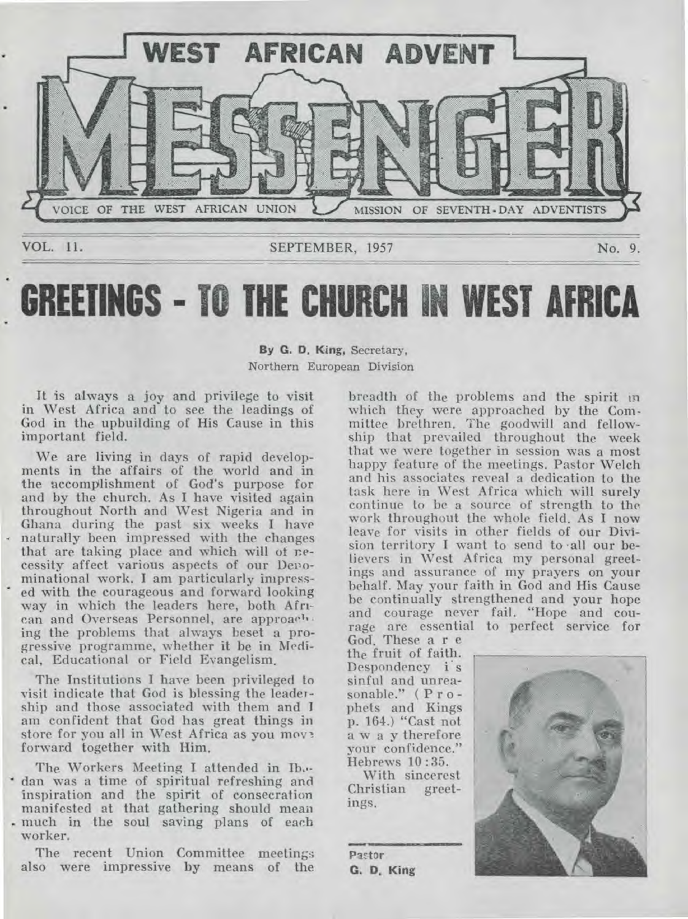

# **GREETINGS - TO THE CHURCH IN WEST AFRICA**

#### **By G. D. King,** Secretary, Northern European Division

It is always a joy and privilege to visit in West Africa and to see the leadings of God in the upbuilding of His Cause in this iinportant field.

We are living in days of rapid developments in the affairs of the world and in the accomplishment of God's purpose for and by the church. As **I** have visited again throughout North and West Nigeria and in Ghana during the past six weeks **I** have naturally been impressed with the changes that are taking place and which will of necessity affect various aspects of our Denominational work. **I** am particularly impressed with the courageous and forward looking way in which the leaders here, both Afri• can and Overseas Personnel, are approach • ing the problems that always beset a progressive programme, whether it be in Medical, Educational or Field Evangelism.

The Institutions I have been privileged to visit indicate that God is blessing the leadership and those associated with them and I am confident that God has great things in store for you all in West Africa as you move forward together with Him.

The Workers Meeting **I.** attended in **Ib,.** dan was a time of spiritual refreshing and inspiration and the spirit of consecration manifested at that gathering should mean . much in the soul saving plans of each worker.

The recent Union Committee meetings also were impressive by means of the breadth of the problems and the spirit **in**  which they were approached by the Committee brethren. The goodwill and fellowship that prevailed throughout the week that we were together in session was a most happy feature of the meetings. Pastor Welch and his associates reveal a dedication to the task here in West Africa which will surely continue to be a source of strength to the work throughout the whole field. As **I** now leave for visits in other fields of our Division territory I want to send to •all our believers in West Africa my personal greetings and assurance of my prayers on your behalf. May your faith in God and His Cause be continually strengthened and your hope and courage never fail. "Hope and courage are essential to perfect service for

God. These a r e the fruit of faith Despondency i s sinful and unreasonable." (Prophets and Kings p. 164.) "Cast not away therefore your confidence." Hebrews 10:35.

With sincerest Christian greetings.

Pastor **G. D.** King

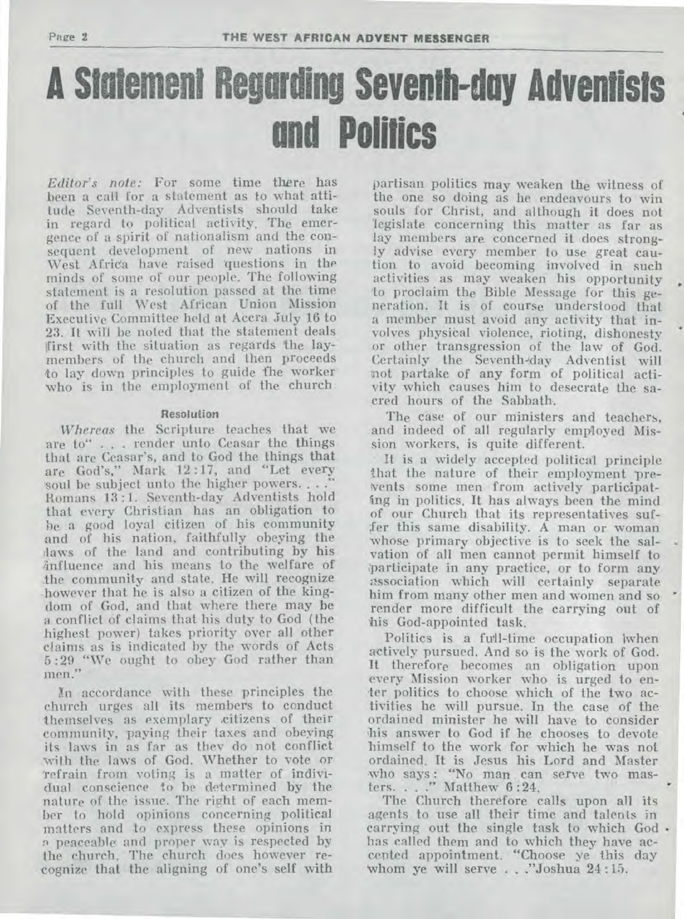# **A Statement Regarding Seventh-day Adventists and Politics**

*Editor's note:* For some time there has been a call for a statement as to what attitude Seventh-day Adventists should take in regard to political activity. The emergence of a spirit of nationalism and the consequent development of new nations in West Africa have raised questions in the minds of some of our people. The following statement is a resolution passed at the time of the full West African Union Mission Executive Committee held at Accra July 16 to 23. It will be noted that the statement deals first with the situation as regards the laymembers of the church and then proceeds to lay down principles to guide fhe worker who is in the employment of the church.

#### **Resolution**

*Whereas* the Scripture teaches that we are to" . . . render unto Ceasar the things that are Ceasar's, and to God the things that are God's," Mark 12 :17, and "Let every soul be subject unto the higher powers. . . . Romans 13 :1. Seventh-day Adventists hold that every Christian has an obligation to he a good loyal citizen of his community and of his nation, faithfully obeying the :laws of the land and contributing by his influence and his means to the welfare of the community and state. He will recognize however that he is also a citizen of the kingdom of God, and that where there may be a conflict of claims that his duty to God (the highest power) takes priority over all other claims as is indicated by the words of Acts 5 :29 "We ought to obey God rather than men."

In accordance with these principles the church urges all its members to conduct themselves as exemplary .citizens of their community, paying their taxes and obeying its laws in as far as they do not conflict with the laws of God. Whether to vote or 'refrain from voting is a matter of individual conscience to be determined by the nature of the issue. The right of each member to hold opinions concerning political matters and to express these opinions in n peaceable and proper way is respected by the church. The church does however recognize that the aligning of one's self with

partisan politics may weaken the witness of the one so doing as he endeavours to win souls for Christ, and although it does not legislate concerning this matter as far as lay members are concerned it does strongly advise every member to use great caution to avoid becoming involved in such activities as may weaken his opportunity 'to proclaim the Bible Message for this generation. It is of course understood that a member must avoid any activity that involves physical violence, rioting, dishonesty or other transgression of the law of God. Certainly the Seventh-day Adventist will (not partake of any form of political activity which causes him to desecrate the sacred hours of the Sabbath.

The case of our ministers and teachers, and indeed of all regularly employed Mission workers, is quite different.

It is a widely accepted political principle that the nature of their employment prevents some men from actively participating in politics. It has always been the mind of our Church that its representatives suffer this same disability. A man or woman whose primary objective is to seek the salvation of *all* men cannot permit himself to participate in any practice, or to form any association which will certainly separate him from many other men and women and so render more difficult the carrying out of his God-appointed task.

Politics is a full-time occupation lwhen actively pursued. And so is the work of God. It therefore becomes an obligation upon every Mission worker who is urged to en- 'ter politics to choose which of the two activities he will pursue. In the case of the ordained minister he will have to consider his answer to God if he chooses to devote himself to the work for which he was not ordained. It is Jesus his Lord and Master who says: "No man can serve two masters. . . ." Matthew 6 :24.

The Church therefore calls upon *all* its agents to use all their time and talents in carrying out the single task to which God • has called them and to which they have accepted appointment. "Choose ye this day 'whom ye will serve . . ."Joshua 24 :15.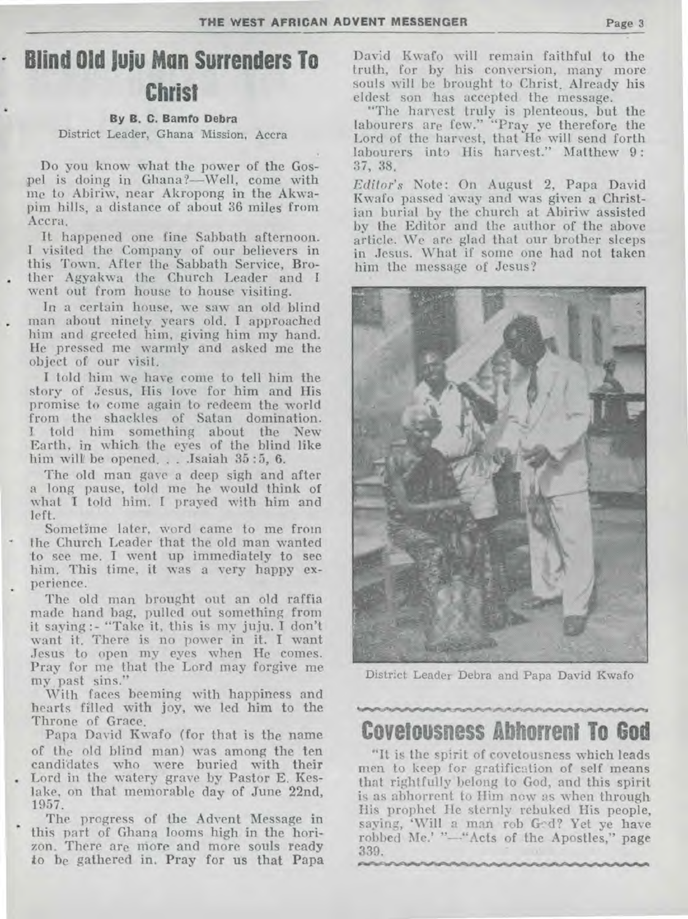# **• Blind Old Juju Mon Surrenders To Christ**

#### **By B. C. Benito Debra**

District Leader, Ghana Mission, Accra

Do you know what the power of the Gospel is doing in Ghana?—Well, come with me to Abiriw, near Akropong in the Akwapim hills, a distance of about 36 miles from Accra.

It happened one fine Sabbath afternoon. I visited the Company of our believers in this Town. After the Sabbath Service, Bro- . ther Agyakwa the Church Leader and I went out from house to house visiting.

In a certain house, we saw an old blind man about ninety years old. I approached him and greeted him, giving him my hand. He pressed me warmly and asked me the object of our visit.

I told him we have come to tell him the story of Jesus, His love for him and His promise to come again to redeem the world from the shackles of Satan domination. I. told him something about the New Earth, in which. the eyes of the blind like him will be opened. . . . Isaiah 35:5, 6.

The old man gave a deep sigh and after a long pause, told me he would think of what I told him. I prayed with him and left.

Sometime later, word came to me from the Church Leader that the old man wanted to see me. I went up immediately to see him. This time, it was a very happy experience.

The old man brought out an old raffia made hand bag, pulled out something from it saying :- "Take it, this is my juju. I don't want it. There is no power in it. I want Jesus to open my eyes when He comes. Pray for me that the Lord may forgive me my past sins."

With faces beeming with happiness and hearts filled with joy, we led him to the Throne of Grace.

Papa David Kwafo (for that is the name of the old blind man) was among the ten candidates who were buried with their . Lord in the watery grave by Pastor E. Keslake, on that memorable day of June 22nd, 1957.

The progress of the Advent Message in this part of Ghana looms high in the horizon. There are more and more souls ready to be gathered in. Pray for us that Papa

David Kwafo will remain faithful to the truth, for by his conversion, many more souls will be brought to Christ. Already his eldest son has accepted the message.

"The harvest truly is plenteous, but the labourers are few." "Pray ye therefore the Lord of the harvest, that He will send forth labourers into His harvest." Matthew 9: 37, 38.

*Editor's* Note: On August 2, Papa David Kwafo passed away and was given a Christian burial by the church at Abiriw assisted by the Editor and the author of the above article. We are glad that our brother sleeps in Jesus. What if some one had not taken him the message of Jesus?



District Leader Debra and Papa David Kwafo

### **Covetousness Abhorrent To God**

"It is the spirit of covetousness which leads men to keep for gratification of self means that rightfully belong to God, and this spirit is as abhorrent to Him now as when through His prophet He sternly rebuked His people, saying, 'Will a man rob Ged? Yet ye have robbed Me.' "-"Acts of the Apostles," page 339.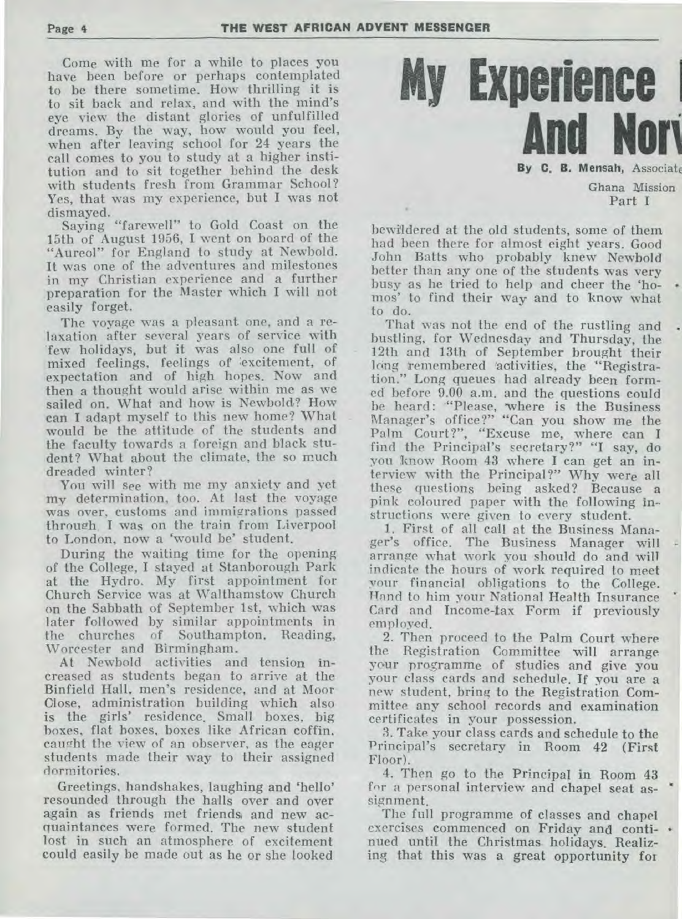Come with me for a while to places you have been before or perhaps contemplated to be there sometime. How thrilling it is to sit back and relax, and with the mind's eye view the distant glories of unfulfilled dreams. **By** the way, how would you feel, when after leaving school for 24 years the call comes to you to study at a higher institution and to sit together behind the desk with students fresh from Grammar School? Yes, that was my experience, but I was not dismayed.

Saying "farewell" to Gold Coast on the 15th of August 1956, I went on board of the "Aureol" for England to study at Newbold. It was one of the adventures and milestones in my Christian experience and a further preparation for the Master which I will not easily forget.

The voyage was a pleasant one, and a relaxation after several years of service with few holidays, but it was also one full of mixed feelings, feelings of excitement, of expectation and of high hopes. Now and then a thought would arise within me as we sailed on. What and how is Newbold? How can I adapt myself to this new home? What would be the attitude of **the** students and the faculty towards a foreign and black student? What about the climate, the so much dreaded winter?

You will see with me my anxiety and yet **my** determination, too. At last the voyage was over, customs and immigrations passed through. I was on the train from Liverpool to London, now a 'would be' student.

During the waiting time for the opening of the College, I stayed at Stanborough Park at the Hydro. My first appointment for Church Service was at Walthamstow Church on the Sabbath of September 1st, which was later followed by similar appointments in the churches of Southampton. Reading, Worcester and Birmingham.

At Newbold activities and tension increased as students began to arrive at the Binfield Hall. men's residence, and at Moor Close, administration building which also is the girls' residence. Small boxes, big boxes, flat boxes, boxes like African coffin, caught the view of an observer, as the eager students made their way to their assigned dormitories.

Greetings, handshakes, laughing and 'hello' resounded through the halls over and over again as friends met friends and new acquaintances were formed. The new student lost in such an atmosphere of excitement could easily be made out as he or she looked



**By C. B. Mensah, Associate** 

**Ghana Mission Part I** 

bewildered at the old students, some of them had been there for almost eight years. Good John Batts who probably knew Newbold better than any one of the students was very busy as he tried to help and cheer the 'homos' to find their way and to know what to do.

That was not the end of **the rustling** and bustling, for Wednesday and Thursday, the 12th and 13th of September brought their long remembered 'activities, the "Registration." Long queues had already been formed before 9.00 a.m. and the questions could be heard: "Please, where is the Business Manager's office?" "Can you show me the Palm Court?", "Excuse me, where can I find the Principal's secretary?" "I say, do you know Room 43 where I can get an interview with the Principal?" Why were all these questions being asked? Because a pink coloured paper with the following instructions were given to every student.

1. First of all call at the Business Manager's office. The Business Manager will arrange what work you should do and will indicate the hours of work required to meet your financial obligations to **the** College. !land to him your National Health Insurance Card and Income-tax Form if previously employed.

2. Then proceed to the Palm Court where the Registration Committee will arrange your programme of studies and give you your class cards and schedule. If you are a new student, bring to the Registration Committee any school records and examination certificates in your possession.

3. Take your class cards and schedule to the Principal's secretary in Room 42 (First Floor).

4. Then go to the Principal in Room 43 for a personal interview and chapel seat assignment.

The full programme of classes and chapel exercises commenced on Friday and conti- • nued until the Christmas- holidays. Realizing that this was a great opportunity for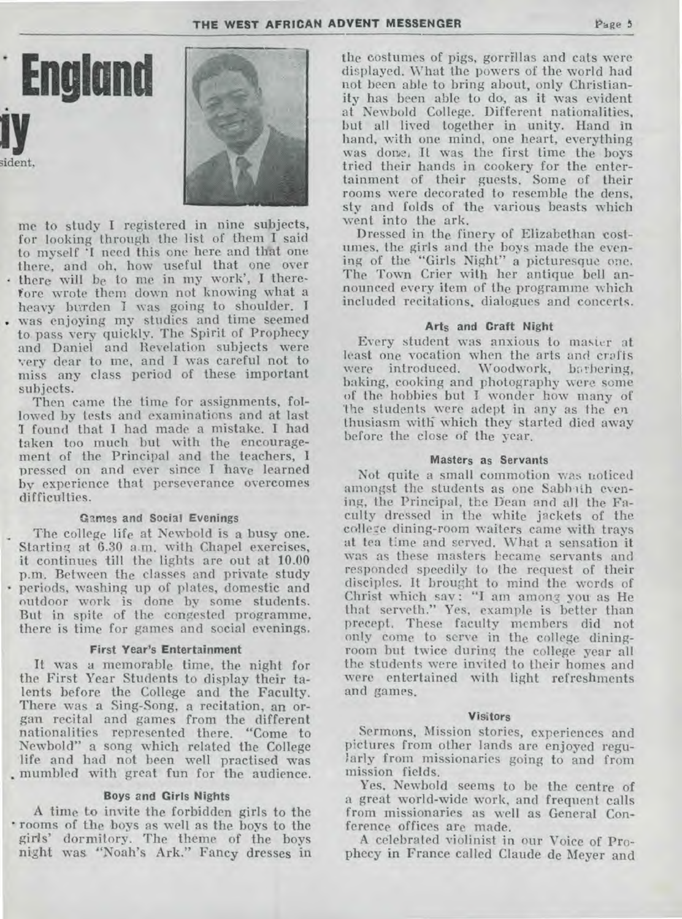sident. me to study I registered in nine subjects, for looking through the list of them I said

**Englund** 

to myself **'I** need this one here and that one there, and oh, how useful that one over • there will be to me in my work', I therefore wrote them down not knowing what a heavy burden I was going to shoulder. **<sup>I</sup>** . was enjoying my studies and time seemed to pass very quickly. The Spirit of Prophecy and Daniel and Revelation subjects were very dear to me, and **I** was careful not to miss any class period of these important subjects.

Then came the time for assignments, followed by tests and examinations and at last I found that I had made a mistake. I had taken too much but with the encouragement of the Principal and the teachers, **<sup>1</sup>** pressed on and ever since I have learned by experience that perseverance overcomes difficulties.

#### **Games and Social Evenings**

The college life at Newbold is a busy one. Starting at 6.30 a.m. with Chapel exercises, it continues till the lights are out at 10.00 p.m., Between the classes and private study • periods, washing up of plates, domestic and outdoor work is done by some students. But in spite of the congested programme, there is time for games and social evenings.

#### **First Year's Entertainment**

It was a memorable time, the night for the First Year Students to display their talents before the College and the Faculty. There was a Sing-Song, a recitation, an organ recital and games from the different nationalities represented there. "Come to Newbold" a song which related the College life and had not been well practised was mumbled with great fun for the audience.

#### **Boys and Girls Nights**

**A** time to invite the forbidden girls to the • rooms of the boys as well as the boys to the girls' dormitory. The theme of the boys night was "Noah's Ark." Fancy dresses in the costumes of pigs, gorrillas and cats were displayed. What the powers of the world had not been able to bring about, only Christianity has been able to do, as it was evident at Newbold College. Different nationalities, but all lived together in unity. Hand in hand, with one mind, one heart, everything was done, It was the first time the boys tried their hands in cookery for the entertainment of their guests. Some of their rooms were decorated to resemble the dens, sty and folds of the various beasts which went into the ark.

Dressed in the finery of Elizabethan costumes, the girls and the boys made the evening of the "Girls Night" a picturesque one. The Town Crier with her antique bell announced every item of the programme which included recitations, dialogues and concerts.

#### Arts and Craft **Night**

Every student was anxious to master at least one vocation when the arts and crafts were introduced. Woodwork, barbering, baking, cooking and photography were some of the hobbies but I. wonder how many of The students were adept in any as the en thusiasm with which they started died away before the close of the year.

#### **Masters as Servants**

Not quite a small commotion was noticed amongst the students as one Sabbith evening, the Principal, the Dean and all the Faculty dressed in the white jackets of the college dining-room waiters came with trays at tea time and served. What a sensation it was as these masters became servants and responded speedily to the request of their disciples. It brought to mind the words of Christ which say : "I am among you as He that serveth." Yes, example is better than precept. These faculty members did not only come to serve in the college diningroom but twice during the college year all the students were invited to their homes and were entertained with light refreshments and games.

#### **Visitors**

Sermons, Mission stories, experiences and pictures from other lands are enjoyed regularly from missionaries going to and from mission fields.

Yes. Newbold seems to be the centre of a great world-wide work, and frequent calls from missionaries as well as General Conference offices are made.

A celebrated violinist in our Voice of Prophecy in France called Claude de Meyer and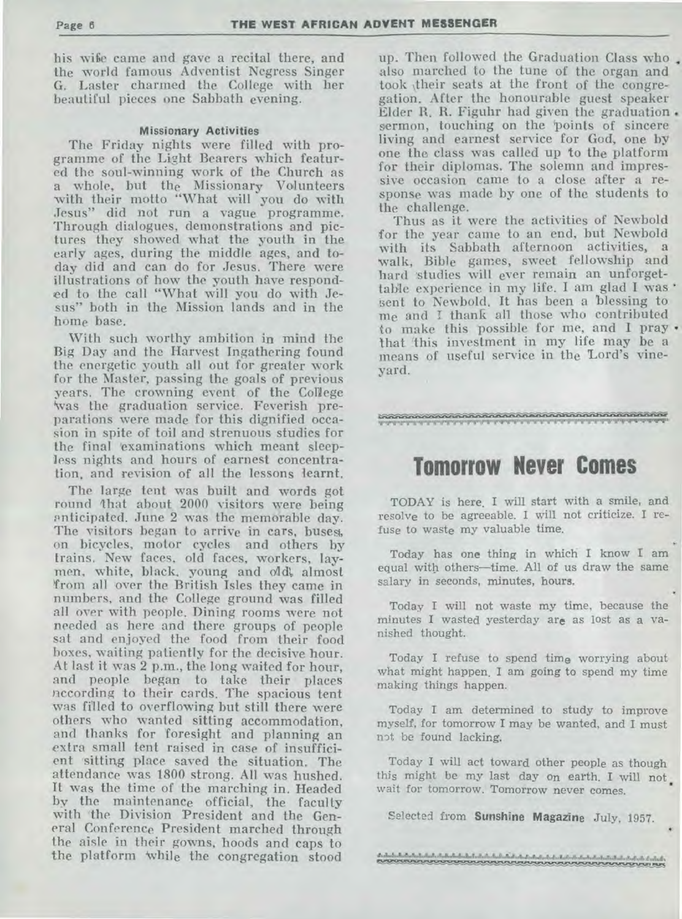his wise came and gave a recital there, and the world famous Adventist Negress Singer G. Laster charmed the College with her beautiful pieces one Sabbath evening.

#### **Missionary Activities**

The Friday nights were filled with programme of the Light Bearers which featured the soul-winning work of the Church as a whole, but the Missionary Volunteers with their motto "What will you do with Jesus" did not run a vague programme. Through dialogues, demonstrations and pictures they showed what the youth in the early ages, during the middle ages, and today did and can do for Jesus. There were illustrations of how the youth have responded to the call "What will you do with Jesus" both in the Mission lands and in the home base.

With such worthy ambition in mind the Big Day and the Harvest Ingathering found the energetic youth all out for greater work for the Master, passing the goals of previous years. The crowning event of the College Was the graduation service. Feverish preparations were made for this dignified occasion in spite of toil and strenuous studies for the final 'examinations which meant sleepless nights and hours of earnest concentration, and revision of all the lessons learnt.

The large tent was built and words got round that about 2000 visitors were being anticipated. June 2 was the memorable day. The visitors began to arrive in cars, buses, on bicycles, motor cycles and others by trains. New faces, old faces, workers, laymen, white, black, young and old', almost !from all over the British Isles they came in numbers, and the College ground was filled all over with people. Dining rooms were not needed as here and there groups of people sat and enjoyed the food from their food boxes, waiting patiently for the decisive hour. At last it was 2 p.m., the long waited for hour, and people began to take their places according to their cards. The spacious tent was filled to overflowing but still there were others who wanted sitting accommodation, and thanks for 'foresight and planning an extra small tent raised in case of insufficient sitting place saved the situation. The attendance was 1800 strong. All was hushed. It was the time of the marching in. Headed by the maintenance official, the faculty with the Division President and the General Conference President marched through the aisle in their gowns, hoods and caps to the platform 'while the congregation stood

up. Then followed the Graduation Class who also marched to the tune of the organ and took \their seats at the front of the congregation. After the honourable guest speaker Elder R. R. Figuhr had given the graduation . sermon, touching on the 'points of sincere living and earnest service for God, one by one the class was called up to the platform for their diplomas. The solemn and impressive occasion came to a close after a response was made by one of the students to the challenge.

Thus as it were the activities of Newbold for the year came to an end, but Newbold with its Sabbath afternoon activities, a walk, Bible games, sweet fellowship and hard studies will ever remain an unforgettable experience in my life. I am glad I was • sent to Newbold. It has been a blessing to me and I thank all those who contributed to make this possible for me, and I pray • that 'this investment in my life may be a means of useful service in the Lord's vineyard.

#### ql".11.W.11."11".1.1.4...1r11".11'41.11.11.11 11."M"11.11.0.11.11"'11.11.91.1'11...11.11.11".11."r11".11".11.11.1.11. 941.1.1.114.

## **Tomorrow Never Comes**

TODAY is here. I will start with a smile, and resolve to be agreeable. I will not criticize. I refuse to waste my valuable time.

Today has one thing in which I know I am equal with others—time. All of us draw the same salary in seconds, minutes, hours.

Today I will not waste my time, because the minutes I wasted yesterday are as lost as a vanished thought.

Today I refuse to spend time worrying about what might happen. I am going to spend my time making things happen.

Today I am determined to study to improve myself, for tomorrow I may be wanted, and I must not be found lacking.

Today I will act toward other people as though this might be my last day on earth. I will not wait for tomorrow. Tomorrow never comes.

Selected from **Sunshine Magazine** July, 1957.

المناسبة والمنافسة والمناسبة والمناسبة والمناسبة والمناسبة والمناسبة والمناسبة والمناسبة والمناسبة والمناسبة والمتناسبة والمناسبة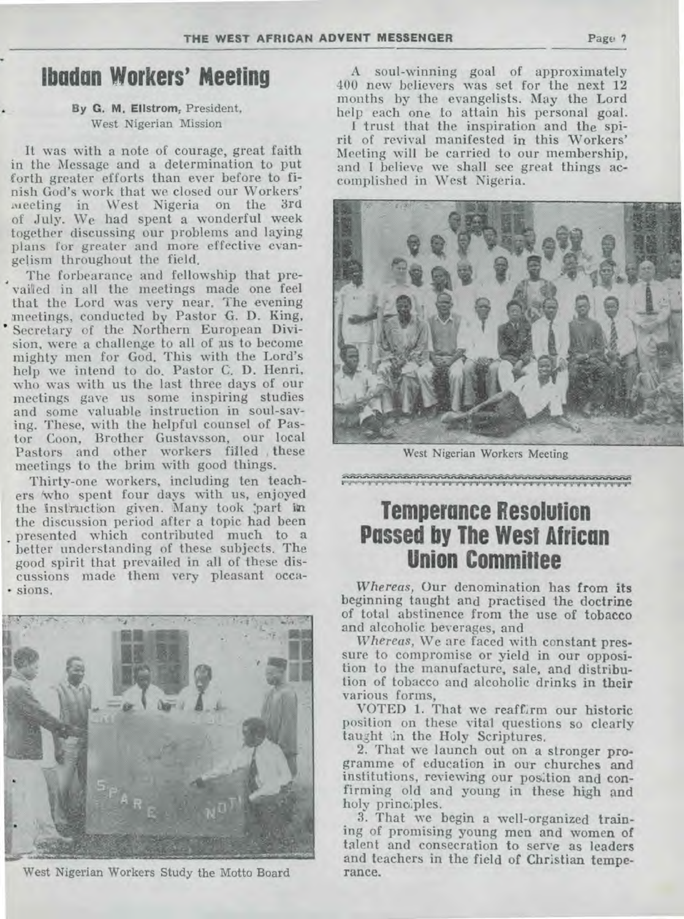# **lbadan Workers' Meeting**

#### By G. M. Ellstrom, President, West Nigerian Mission

It was with a note of courage, great faith in the Message and a determination to put forth greater efforts than ever before to finish God's work that we closed our Workers' meeting in West Nigeria on the 3rd of July. We had spent a wonderful week together discussing our problems and laying plans for greater and more effective evangelism throughout the field.

The forbearance and fellowship that pre vailed in all the meetings made one feel that the Lord was very near. The evening meetings, conducted **by** Pastor G. D. King, Secretary of the Northern European Division, were a challenge to all of us to become mighty men for God. This with the Lord's help we intend to do. Pastor C. D. Henri, who was with us the last three days of our meetings gave us some inspiring studies and some valuable instruction in soul-saving. These, with the helpful counsel of Pastor Coon, Brother Gustaysson, our local Pastors and other workers filled , these meetings to the brim with good things.

Thirty-one workers, including ten teachers 'who spent four days with us, enjoyed the instruction given. Many took part in the discussion period after a topic had been presented which contributed much to a better understanding of these subjects. The good spirit that prevailed in all of these discussions made them very pleasant occa- • sions.



West Nigerian Workers Study the Motto Board

A soul-winning goal of approximately 400 new believers was set for the next 12 months by the evangelists. May the Lord help each one to attain his personal goal.

I trust that the inspiration and the spirit of revival manifested in this Workers' Meeting will be carried to our membership, and I believe we shall see great things accomplished in West Nigeria.



West Nigerian Workers Meeting

1"1.1.1.11 ,'.V' .11.11" 1.11."11.11.9.11.11"1".11 `I' '9".11.11.11.11.11".11.11.11.11.11.11".U".11

# **Temperance Resolution Passed by The West African Union Committee**

*Whereas,* Our denomination has from its beginning taught and practised the doctrine of total abstinence from the use of tobacco and alcoholic beverages, and

*Whereas,* We are faced with constant pressure to compromise or yield in our opposition to the manufacture, sale, and distribution of tobacco and alcoholic drinks in their various forms,

VOTED 1. That we reaffirm our historic position on these vital questions so clearly taught in the Holy Scriptures.

2. That we launch out on a stronger programme of education in our churches and institutions, reviewing our position and confirming old and young in these high and holy principles.

3. That we begin a well-organized training of promising young men and women of talent and consecration to serve as leaders and teachers in the field of Christian temperance.